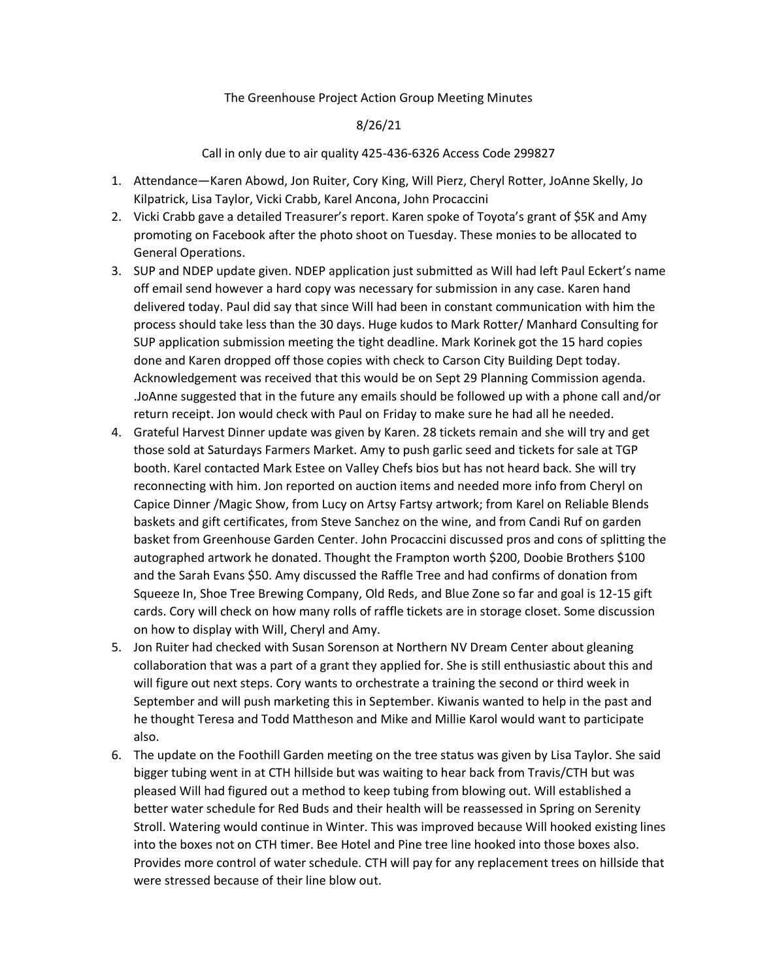### The Greenhouse Project Action Group Meeting Minutes

### 8/26/21

#### Call in only due to air quality 425-436-6326 Access Code 299827

- 1. Attendance—Karen Abowd, Jon Ruiter, Cory King, Will Pierz, Cheryl Rotter, JoAnne Skelly, Jo Kilpatrick, Lisa Taylor, Vicki Crabb, Karel Ancona, John Procaccini
- 2. Vicki Crabb gave a detailed Treasurer's report. Karen spoke of Toyota's grant of \$5K and Amy promoting on Facebook after the photo shoot on Tuesday. These monies to be allocated to General Operations.
- 3. SUP and NDEP update given. NDEP application just submitted as Will had left Paul Eckert's name off email send however a hard copy was necessary for submission in any case. Karen hand delivered today. Paul did say that since Will had been in constant communication with him the process should take less than the 30 days. Huge kudos to Mark Rotter/ Manhard Consulting for SUP application submission meeting the tight deadline. Mark Korinek got the 15 hard copies done and Karen dropped off those copies with check to Carson City Building Dept today. Acknowledgement was received that this would be on Sept 29 Planning Commission agenda. .JoAnne suggested that in the future any emails should be followed up with a phone call and/or return receipt. Jon would check with Paul on Friday to make sure he had all he needed.
- 4. Grateful Harvest Dinner update was given by Karen. 28 tickets remain and she will try and get those sold at Saturdays Farmers Market. Amy to push garlic seed and tickets for sale at TGP booth. Karel contacted Mark Estee on Valley Chefs bios but has not heard back. She will try reconnecting with him. Jon reported on auction items and needed more info from Cheryl on Capice Dinner /Magic Show, from Lucy on Artsy Fartsy artwork; from Karel on Reliable Blends baskets and gift certificates, from Steve Sanchez on the wine, and from Candi Ruf on garden basket from Greenhouse Garden Center. John Procaccini discussed pros and cons of splitting the autographed artwork he donated. Thought the Frampton worth \$200, Doobie Brothers \$100 and the Sarah Evans \$50. Amy discussed the Raffle Tree and had confirms of donation from Squeeze In, Shoe Tree Brewing Company, Old Reds, and Blue Zone so far and goal is 12-15 gift cards. Cory will check on how many rolls of raffle tickets are in storage closet. Some discussion on how to display with Will, Cheryl and Amy.
- 5. Jon Ruiter had checked with Susan Sorenson at Northern NV Dream Center about gleaning collaboration that was a part of a grant they applied for. She is still enthusiastic about this and will figure out next steps. Cory wants to orchestrate a training the second or third week in September and will push marketing this in September. Kiwanis wanted to help in the past and he thought Teresa and Todd Mattheson and Mike and Millie Karol would want to participate also.
- 6. The update on the Foothill Garden meeting on the tree status was given by Lisa Taylor. She said bigger tubing went in at CTH hillside but was waiting to hear back from Travis/CTH but was pleased Will had figured out a method to keep tubing from blowing out. Will established a better water schedule for Red Buds and their health will be reassessed in Spring on Serenity Stroll. Watering would continue in Winter. This was improved because Will hooked existing lines into the boxes not on CTH timer. Bee Hotel and Pine tree line hooked into those boxes also. Provides more control of water schedule. CTH will pay for any replacement trees on hillside that were stressed because of their line blow out.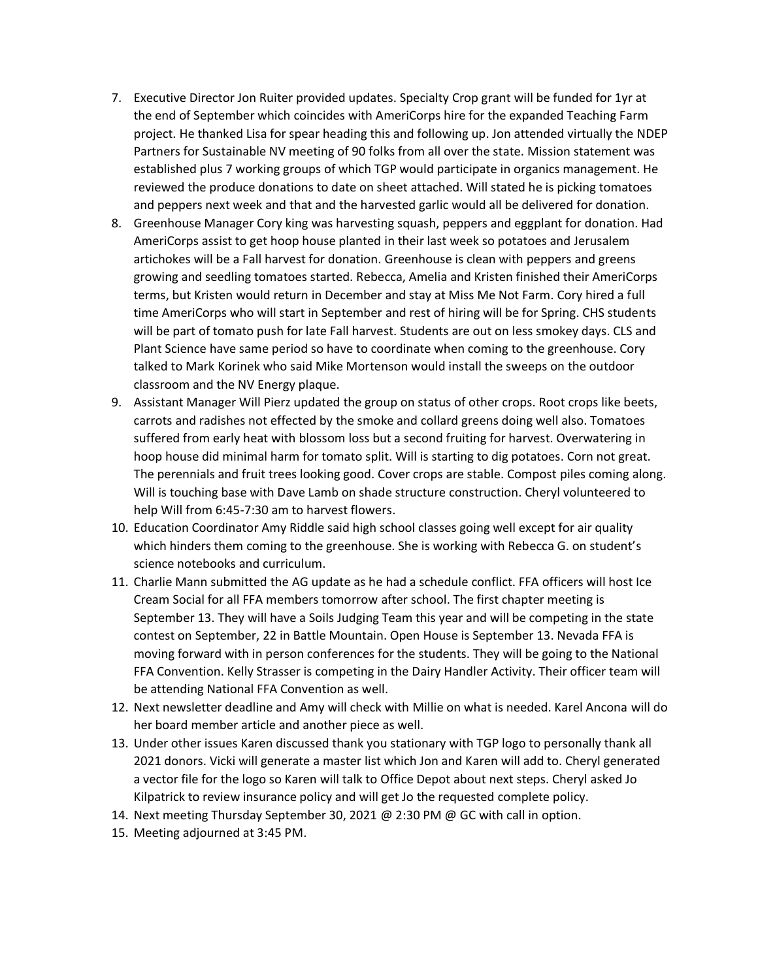- 7. Executive Director Jon Ruiter provided updates. Specialty Crop grant will be funded for 1yr at the end of September which coincides with AmeriCorps hire for the expanded Teaching Farm project. He thanked Lisa for spear heading this and following up. Jon attended virtually the NDEP Partners for Sustainable NV meeting of 90 folks from all over the state. Mission statement was established plus 7 working groups of which TGP would participate in organics management. He reviewed the produce donations to date on sheet attached. Will stated he is picking tomatoes and peppers next week and that and the harvested garlic would all be delivered for donation.
- 8. Greenhouse Manager Cory king was harvesting squash, peppers and eggplant for donation. Had AmeriCorps assist to get hoop house planted in their last week so potatoes and Jerusalem artichokes will be a Fall harvest for donation. Greenhouse is clean with peppers and greens growing and seedling tomatoes started. Rebecca, Amelia and Kristen finished their AmeriCorps terms, but Kristen would return in December and stay at Miss Me Not Farm. Cory hired a full time AmeriCorps who will start in September and rest of hiring will be for Spring. CHS students will be part of tomato push for late Fall harvest. Students are out on less smokey days. CLS and Plant Science have same period so have to coordinate when coming to the greenhouse. Cory talked to Mark Korinek who said Mike Mortenson would install the sweeps on the outdoor classroom and the NV Energy plaque.
- 9. Assistant Manager Will Pierz updated the group on status of other crops. Root crops like beets, carrots and radishes not effected by the smoke and collard greens doing well also. Tomatoes suffered from early heat with blossom loss but a second fruiting for harvest. Overwatering in hoop house did minimal harm for tomato split. Will is starting to dig potatoes. Corn not great. The perennials and fruit trees looking good. Cover crops are stable. Compost piles coming along. Will is touching base with Dave Lamb on shade structure construction. Cheryl volunteered to help Will from 6:45-7:30 am to harvest flowers.
- 10. Education Coordinator Amy Riddle said high school classes going well except for air quality which hinders them coming to the greenhouse. She is working with Rebecca G. on student's science notebooks and curriculum.
- 11. Charlie Mann submitted the AG update as he had a schedule conflict. FFA officers will host Ice Cream Social for all FFA members tomorrow after school. The first chapter meeting is September 13. They will have a Soils Judging Team this year and will be competing in the state contest on September, 22 in Battle Mountain. Open House is September 13. Nevada FFA is moving forward with in person conferences for the students. They will be going to the National FFA Convention. Kelly Strasser is competing in the Dairy Handler Activity. Their officer team will be attending National FFA Convention as well.
- 12. Next newsletter deadline and Amy will check with Millie on what is needed. Karel Ancona will do her board member article and another piece as well.
- 13. Under other issues Karen discussed thank you stationary with TGP logo to personally thank all 2021 donors. Vicki will generate a master list which Jon and Karen will add to. Cheryl generated a vector file for the logo so Karen will talk to Office Depot about next steps. Cheryl asked Jo Kilpatrick to review insurance policy and will get Jo the requested complete policy.
- 14. Next meeting Thursday September 30, 2021 @ 2:30 PM @ GC with call in option.
- 15. Meeting adjourned at 3:45 PM.